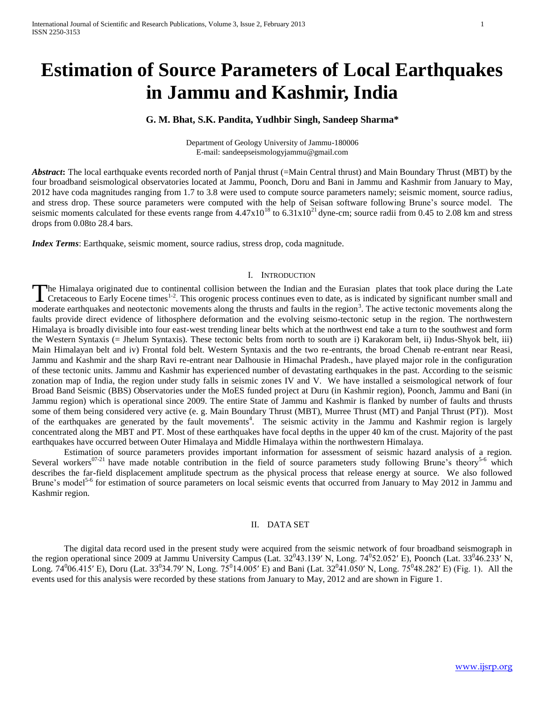# **Estimation of Source Parameters of Local Earthquakes in Jammu and Kashmir, India**

## **G. M. Bhat, S.K. Pandita, Yudhbir Singh, Sandeep Sharma\***

Department of Geology University of Jammu-180006 E-mail: [sandeepseismologyjammu@gmail.com](mailto:sandeepseismologyjammu@gmail.com)

*Abstract***:** The local earthquake events recorded north of Panjal thrust (=Main Central thrust) and Main Boundary Thrust (MBT) by the four broadband seismological observatories located at Jammu, Poonch, Doru and Bani in Jammu and Kashmir from January to May, 2012 have coda magnitudes ranging from 1.7 to 3.8 were used to compute source parameters namely; seismic moment, source radius, and stress drop. These source parameters were computed with the help of Seisan software following Brune's source model. The seismic moments calculated for these events range from  $4.47 \times 10^{18}$  to  $6.31 \times 10^{21}$  dyne-cm; source radii from 0.45 to 2.08 km and stress drops from 0.08to 28.4 bars.

*Index Terms*: Earthquake, seismic moment, source radius, stress drop, coda magnitude.

#### I. INTRODUCTION

The Himalaya originated due to continental collision between the Indian and the Eurasian plates that took place during the Late The Himalaya originated due to continental collision between the Indian and the Eurasian plates that took place during the Late<br>Cretaceous to Early Eocene times<sup>1-2</sup>. This orogenic process continues even to date, as is ind moderate earthquakes and neotectonic movements along the thrusts and faults in the region<sup>3</sup>. The active tectonic movements along the faults provide direct evidence of lithosphere deformation and the evolving seismo-tectonic setup in the region. The northwestern Himalaya is broadly divisible into four east-west trending linear belts which at the northwest end take a turn to the southwest and form the Western Syntaxis (= Jhelum Syntaxis). These tectonic belts from north to south are i) Karakoram belt, ii) Indus-Shyok belt, iii) Main Himalayan belt and iv) Frontal fold belt. Western Syntaxis and the two re-entrants, the broad Chenab re-entrant near Reasi, Jammu and Kashmir and the sharp Ravi re-entrant near Dalhousie in Himachal Pradesh., have played major role in the configuration of these tectonic units. Jammu and Kashmir has experienced number of devastating earthquakes in the past. According to the seismic zonation map of India, the region under study falls in seismic zones IV and V. We have installed a seismological network of four Broad Band Seismic (BBS) Observatories under the MoES funded project at Duru (in Kashmir region), Poonch, Jammu and Bani (in Jammu region) which is operational since 2009. The entire State of Jammu and Kashmir is flanked by number of faults and thrusts some of them being considered very active (e. g. Main Boundary Thrust (MBT), Murree Thrust (MT) and Panjal Thrust (PT)). Most of the earthquakes are generated by the fault movements<sup>4</sup>. The seismic activity in the Jammu and Kashmir region is largely concentrated along the MBT and PT. Most of these earthquakes have focal depths in the upper 40 km of the crust. Majority of the past earthquakes have occurred between Outer Himalaya and Middle Himalaya within the northwestern Himalaya.

Estimation of source parameters provides important information for assessment of seismic hazard analysis of a region. Several workers<sup>07-21</sup> have made notable contribution in the field of source parameters study following Brune's theory<sup>5-6</sup> which describes the far-field displacement amplitude spectrum as the physical process that release energy at source. We also followed Brune's model<sup>5-6</sup> for estimation of source parameters on local seismic events that occurred from January to May 2012 in Jammu and Kashmir region.

### II. DATA SET

The digital data record used in the present study were acquired from the seismic network of four broadband seismograph in the region operational since 2009 at Jammu University Campus (Lat.  $32^043.139'$  N, Long.  $74^052.052'$  E), Poonch (Lat.  $33^046.233'$  N, Long.  $74^0$ 06.415′ E), Doru (Lat. 33<sup>0</sup>34.79′ N, Long.  $75^0$ 14.005′ E) and Bani (Lat. 32<sup>0</sup>41.050′ N, Long.  $75^0$ 48.282′ E) (Fig. 1). All the events used for this analysis were recorded by these stations from January to May, 2012 and are shown in Figure 1.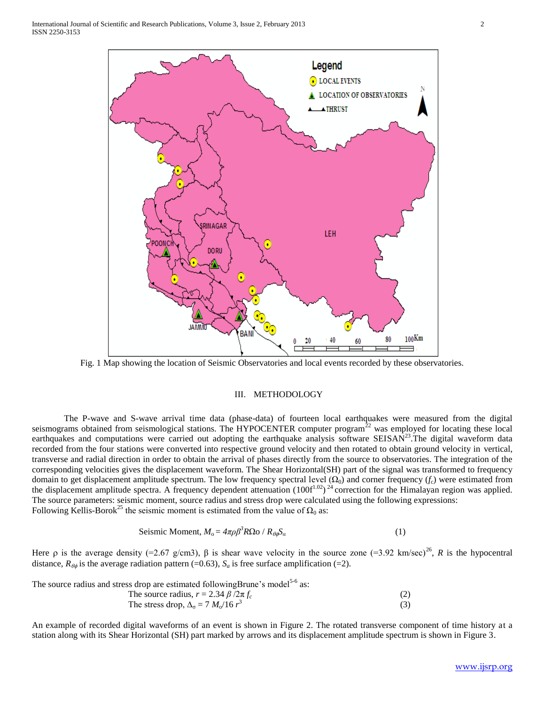

Fig. 1 Map showing the location of Seismic Observatories and local events recorded by these observatories.

#### III. METHODOLOGY

The P-wave and S-wave arrival time data (phase-data) of fourteen local earthquakes were measured from the digital seismograms obtained from seismological stations. The HYPOCENTER computer program<sup>22</sup> was employed for locating these local earthquakes and computations were carried out adopting the earthquake analysis software SEISAN<sup>23</sup>. The digital waveform data recorded from the four stations were converted into respective ground velocity and then rotated to obtain ground velocity in vertical, transverse and radial direction in order to obtain the arrival of phases directly from the source to observatories. The integration of the corresponding velocities gives the displacement waveform. The Shear Horizontal(SH) part of the signal was transformed to frequency domain to get displacement amplitude spectrum. The low frequency spectral level  $(\Omega_0)$  and corner frequency  $(f_c)$  were estimated from the displacement amplitude spectra. A frequency dependent attenuation  $(100f^{1.02})^{24}$  correction for the Himalayan region was applied. The source parameters: seismic moment, source radius and stress drop were calculated using the following expressions: Following Kellis-Borok<sup>25</sup> the seismic moment is estimated from the value of  $\Omega_0$  as:

Seismic Moment, 
$$
M_o = 4\pi \rho \beta^3 R \Omega o / R_{\theta \phi} S_a
$$
 (1)

Here  $\rho$  is the average density (=2.67 g/cm3),  $\beta$  is shear wave velocity in the source zone (=3.92 km/sec)<sup>26</sup>, R is the hypocentral distance,  $R_{\theta\phi}$  is the average radiation pattern (=0.63),  $S_a$  is free surface amplification (=2).

The source radius and stress drop are estimated followingBrune's model<sup>5-6</sup> as:

The source radius, 
$$
r = 2.34 \beta / 2\pi f_c
$$
 (2)  
The stress drop,  $\Delta_{\sigma} = 7 M_o / 16 r^3$  (3)

An example of recorded digital waveforms of an event is shown in Figure 2. The rotated transverse component of time history at a station along with its Shear Horizontal (SH) part marked by arrows and its displacement amplitude spectrum is shown in Figure 3.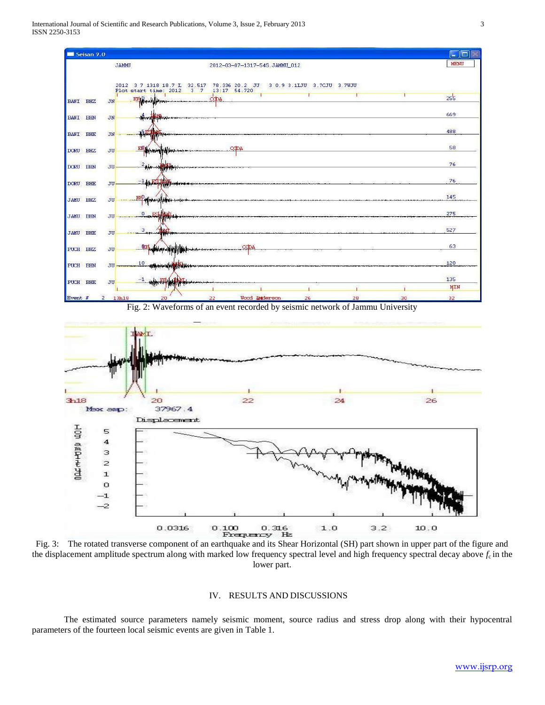

 $0.100$   $0.316$ <br>Frequency Hz Fig. 3: The rotated transverse component of an earthquake and its Shear Horizontal (SH) part shown in upper part of the figure and the displacement amplitude spectrum along with marked low frequency spectral level and high frequency spectral decay above *f*c in the lower part.

 $0.0316$ 

#### IV. RESULTS AND DISCUSSIONS

 $1.0$ 

The estimated source parameters namely seismic moment, source radius and stress drop along with their hypocentral parameters of the fourteen local seismic events are given in Table 1.

 $10.0$ 

 $3.2$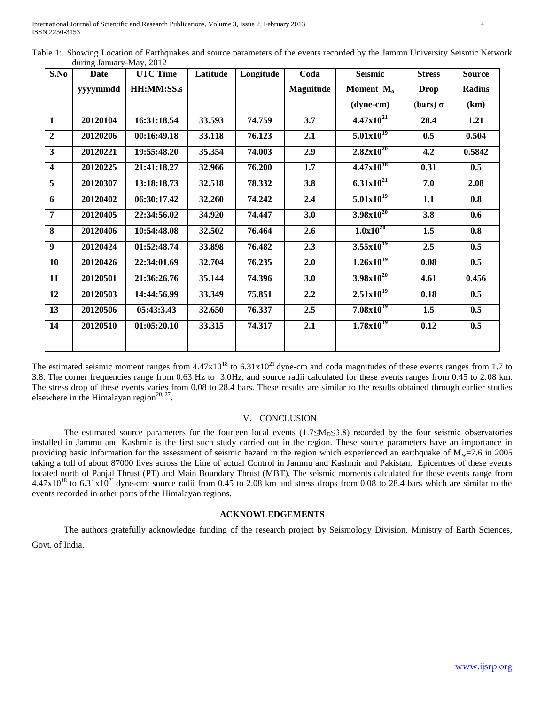| S.No                    | <b>Date</b> | <b>UTC Time</b> | Latitude | Longitude | Coda      | <b>Seismic</b>            | <b>Stress</b> | <b>Source</b> |
|-------------------------|-------------|-----------------|----------|-----------|-----------|---------------------------|---------------|---------------|
|                         | yyyymmdd    | HH:MM:SS.s      |          |           | Magnitude | Moment M <sub>o</sub>     | <b>Drop</b>   | Radius        |
|                         |             |                 |          |           |           | $(dyne-cm)$               | (bars) σ      | (km)          |
| 1                       | 20120104    | 16:31:18.54     | 33.593   | 74.759    | 3.7       | $4.47x10^{21}$            | 28.4          | 1.21          |
| $\overline{2}$          | 20120206    | 00:16:49.18     | 33.118   | 76.123    | 2.1       | $5.01x10^{19}$            | 0.5           | 0.504         |
| $\mathbf{3}$            | 20120221    | 19:55:48.20     | 35.354   | 74.003    | 2.9       | $2.82 \times 10^{20}$     | 4.2           | 0.5842        |
| $\overline{\mathbf{4}}$ | 20120225    | 21:41:18.27     | 32.966   | 76.200    | 1.7       | $4.47x10^{18}$            | 0.31          | 0.5           |
| 5                       | 20120307    | 13:18:18.73     | 32.518   | 78.332    | 3.8       | $6.31x10^{21}$            | 7.0           | 2.08          |
| 6                       | 20120402    | 06:30:17.42     | 32.260   | 74.242    | 2.4       | $5.01x10^{19}$            | 1.1           | 0.8           |
| 7                       | 20120405    | 22:34:56.02     | 34.920   | 74.447    | 3.0       | $3.98x10^{20}$            | 3.8           | 0.6           |
| 8                       | 20120406    | 10:54:48.08     | 32.502   | 76.464    | 2.6       | $1.0x\overline{10^{20}}$  | 1.5           | 0.8           |
| 9                       | 20120424    | 01:52:48.74     | 33.898   | 76.482    | 2.3       | $3.55x10^{19}$            | 2.5           | 0.5           |
| 10                      | 20120426    | 22:34:01.69     | 32.704   | 76.235    | 2.0       | $1.26x10^{19}$            | 0.08          | 0.5           |
| 11                      | 20120501    | 21:36:26.76     | 35.144   | 74.396    | 3.0       | $3.98x10^{20}$            | 4.61          | 0.456         |
| 12                      | 20120503    | 14:44:56.99     | 33.349   | 75.851    | 2.2       | $2.51x10^{19}$            | 0.18          | 0.5           |
| 13                      | 20120506    | 05:43:3.43      | 32.650   | 76.337    | 2.5       | $7.08x10^{19}$            | 1.5           | 0.5           |
| 14                      | 20120510    | 01:05:20.10     | 33.315   | 74.317    | 2.1       | $1.78x\overline{10^{19}}$ | 0.12          | 0.5           |
|                         |             |                 |          |           |           |                           |               |               |

Table 1: Showing Location of Earthquakes and source parameters of the events recorded by the Jammu University Seismic Network during January-May, 2012

The estimated seismic moment ranges from  $4.47x10^{18}$  to  $6.31x10^{21}$  dyne-cm and coda magnitudes of these events ranges from 1.7 to 3.8. The corner frequencies range from 0.63 Hz to 3.0Hz, and source radii calculated for these events ranges from 0.45 to 2.08 km. The stress drop of these events varies from 0.08 to 28.4 bars. These results are similar to the results obtained through earlier studies elsewhere in the Himalayan region $^{20, 27}$ .

#### V. CONCLUSION

The estimated source parameters for the fourteen local events (1.7≤M<sub>D</sub>≤3.8) recorded by the four seismic observatories installed in Jammu and Kashmir is the first such study carried out in the region. These source parameters have an importance in providing basic information for the assessment of seismic hazard in the region which experienced an earthquake of  $M<sub>w</sub>=7.6$  in 2005 taking a toll of about 87000 lives across the Line of actual Control in Jammu and Kashmir and Pakistan. Epicentres of these events located north of Panjal Thrust (PT) and Main Boundary Thrust (MBT). The seismic moments calculated for these events range from  $4.47x10^{18}$  to  $6.31x10^{21}$  dyne-cm; source radii from  $0.45$  to  $2.08$  km and stress drops from 0.08 to 28.4 bars which are similar to the events recorded in other parts of the Himalayan regions.

## **ACKNOWLEDGEMENTS**

The authors gratefully acknowledge funding of the research project by Seismology Division, Ministry of Earth Sciences, Govt. of India.